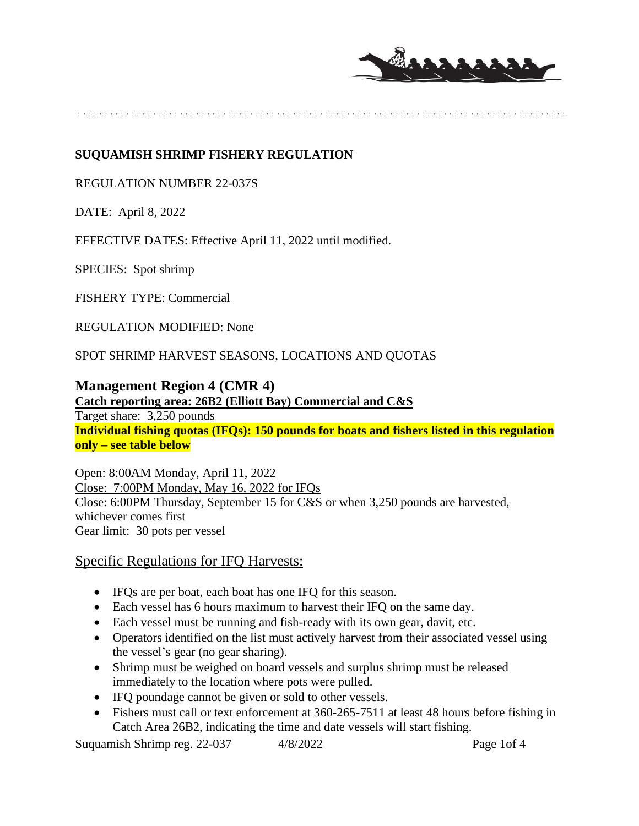

## **SUQUAMISH SHRIMP FISHERY REGULATION**

#### REGULATION NUMBER 22-037S

DATE: April 8, 2022

EFFECTIVE DATES: Effective April 11, 2022 until modified.

SPECIES: Spot shrimp

FISHERY TYPE: Commercial

REGULATION MODIFIED: None

SPOT SHRIMP HARVEST SEASONS, LOCATIONS AND QUOTAS

### **Management Region 4 (CMR 4)**

**Catch reporting area: 26B2 (Elliott Bay) Commercial and C&S** Target share: 3,250 pounds **Individual fishing quotas (IFQs): 150 pounds for boats and fishers listed in this regulation only – see table below**

Open: 8:00AM Monday, April 11, 2022 Close: 7:00PM Monday, May 16, 2022 for IFQs Close: 6:00PM Thursday, September 15 for C&S or when 3,250 pounds are harvested, whichever comes first Gear limit: 30 pots per vessel

### Specific Regulations for IFQ Harvests:

- IFQs are per boat, each boat has one IFQ for this season.
- Each vessel has 6 hours maximum to harvest their IFQ on the same day.
- Each vessel must be running and fish-ready with its own gear, davit, etc.
- Operators identified on the list must actively harvest from their associated vessel using the vessel's gear (no gear sharing).
- Shrimp must be weighed on board vessels and surplus shrimp must be released immediately to the location where pots were pulled.
- IFQ poundage cannot be given or sold to other vessels.
- Fishers must call or text enforcement at 360-265-7511 at least 48 hours before fishing in Catch Area 26B2, indicating the time and date vessels will start fishing.

Suquamish Shrimp reg. 22-037 4/8/2022 Page 1of 4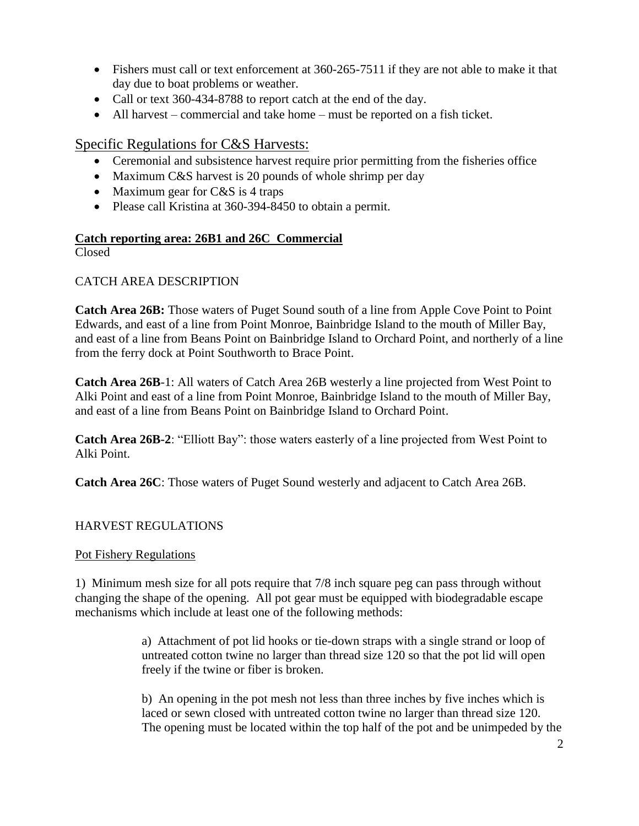- Fishers must call or text enforcement at 360-265-7511 if they are not able to make it that day due to boat problems or weather.
- Call or text 360-434-8788 to report catch at the end of the day.
- All harvest commercial and take home must be reported on a fish ticket.

# Specific Regulations for C&S Harvests:

- Ceremonial and subsistence harvest require prior permitting from the fisheries office
- Maximum C&S harvest is 20 pounds of whole shrimp per day
- Maximum gear for  $C&S$  is 4 traps
- Please call Kristina at 360-394-8450 to obtain a permit.

## **Catch reporting area: 26B1 and 26C Commercial**

Closed

## CATCH AREA DESCRIPTION

**Catch Area 26B:** Those waters of Puget Sound south of a line from Apple Cove Point to Point Edwards, and east of a line from Point Monroe, Bainbridge Island to the mouth of Miller Bay, and east of a line from Beans Point on Bainbridge Island to Orchard Point, and northerly of a line from the ferry dock at Point Southworth to Brace Point.

**Catch Area 26B**-1: All waters of Catch Area 26B westerly a line projected from West Point to Alki Point and east of a line from Point Monroe, Bainbridge Island to the mouth of Miller Bay, and east of a line from Beans Point on Bainbridge Island to Orchard Point.

**Catch Area 26B-2**: "Elliott Bay": those waters easterly of a line projected from West Point to Alki Point.

**Catch Area 26C**: Those waters of Puget Sound westerly and adjacent to Catch Area 26B.

### HARVEST REGULATIONS

### Pot Fishery Regulations

1) Minimum mesh size for all pots require that 7/8 inch square peg can pass through without changing the shape of the opening. All pot gear must be equipped with biodegradable escape mechanisms which include at least one of the following methods:

> a) Attachment of pot lid hooks or tie-down straps with a single strand or loop of untreated cotton twine no larger than thread size 120 so that the pot lid will open freely if the twine or fiber is broken.

b) An opening in the pot mesh not less than three inches by five inches which is laced or sewn closed with untreated cotton twine no larger than thread size 120. The opening must be located within the top half of the pot and be unimpeded by the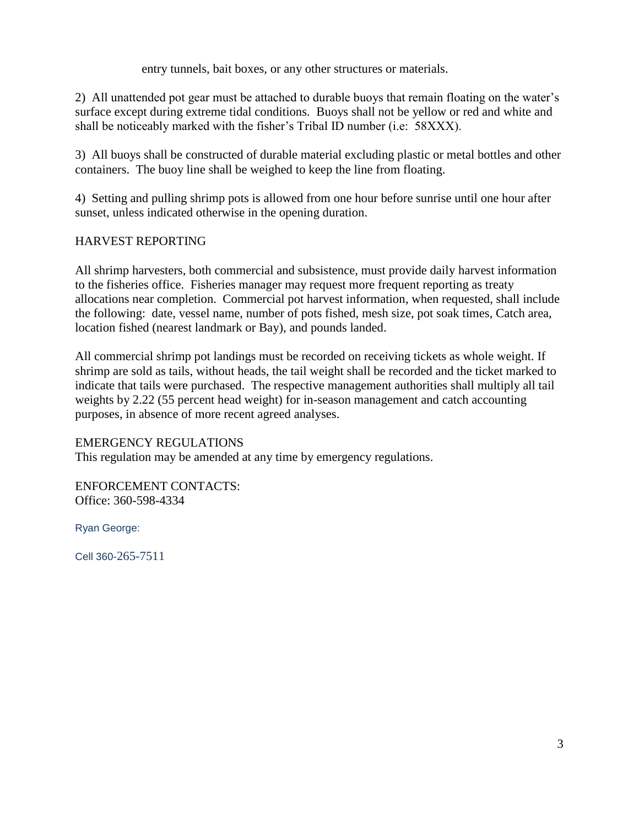entry tunnels, bait boxes, or any other structures or materials.

2) All unattended pot gear must be attached to durable buoys that remain floating on the water's surface except during extreme tidal conditions. Buoys shall not be yellow or red and white and shall be noticeably marked with the fisher's Tribal ID number (i.e: 58XXX).

3) All buoys shall be constructed of durable material excluding plastic or metal bottles and other containers. The buoy line shall be weighed to keep the line from floating.

4) Setting and pulling shrimp pots is allowed from one hour before sunrise until one hour after sunset, unless indicated otherwise in the opening duration.

## HARVEST REPORTING

All shrimp harvesters, both commercial and subsistence, must provide daily harvest information to the fisheries office. Fisheries manager may request more frequent reporting as treaty allocations near completion. Commercial pot harvest information, when requested, shall include the following: date, vessel name, number of pots fished, mesh size, pot soak times, Catch area, location fished (nearest landmark or Bay), and pounds landed.

All commercial shrimp pot landings must be recorded on receiving tickets as whole weight. If shrimp are sold as tails, without heads, the tail weight shall be recorded and the ticket marked to indicate that tails were purchased. The respective management authorities shall multiply all tail weights by 2.22 (55 percent head weight) for in-season management and catch accounting purposes, in absence of more recent agreed analyses.

### EMERGENCY REGULATIONS

This regulation may be amended at any time by emergency regulations.

ENFORCEMENT CONTACTS: Office: 360-598-4334

Ryan George:

Cell 360-265-7511